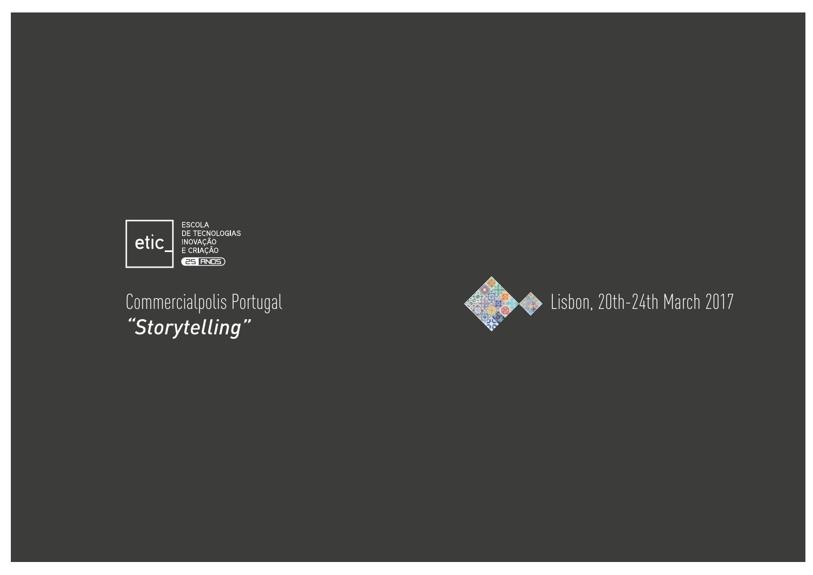

*"Storytelling"*

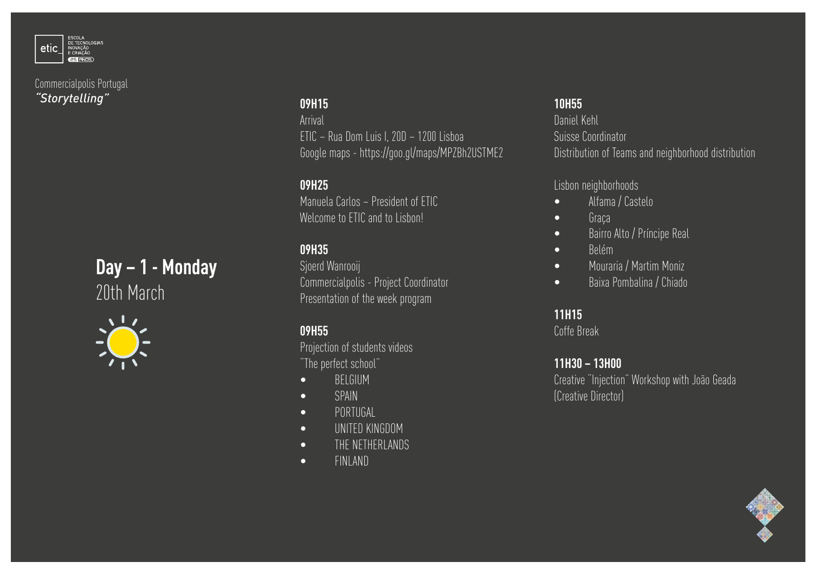





## **09H15**

Arrival ETIC – Rua Dom Luis I, 20D – 1200 Lisboa Google maps - https://goo.gl/maps/MPZBh2USTME2

## **09H25**

Manuela Carlos – President of ETIC Welcome to ETIC and to Lisbon!

# **09H35**

Sjoerd Wanrooij Commercialpolis - Project Coordinator Presentation of the week program

# **09H55**

Projection of students videos "The perfect school"

- BELGIUM
- SPAIN
- PORTUGAL
- UNITED KINGDOM
- THE NETHERLANDS
- FINLAND

# **10H55**

Daniel Kehl Suisse Coordinator Distribution of Teams and neighborhood distribution

Lisbon neighborhoods

- Alfama / Castelo
- Graça
- Bairro Alto / Príncipe Real
- Belém
- Mouraria / Martim Moniz
- Baixa Pombalina / Chiado

# **11H15**

Coffe Break

#### **11H30 – 13H00**

Creative "Injection" Workshop with João Geada (Creative Director)

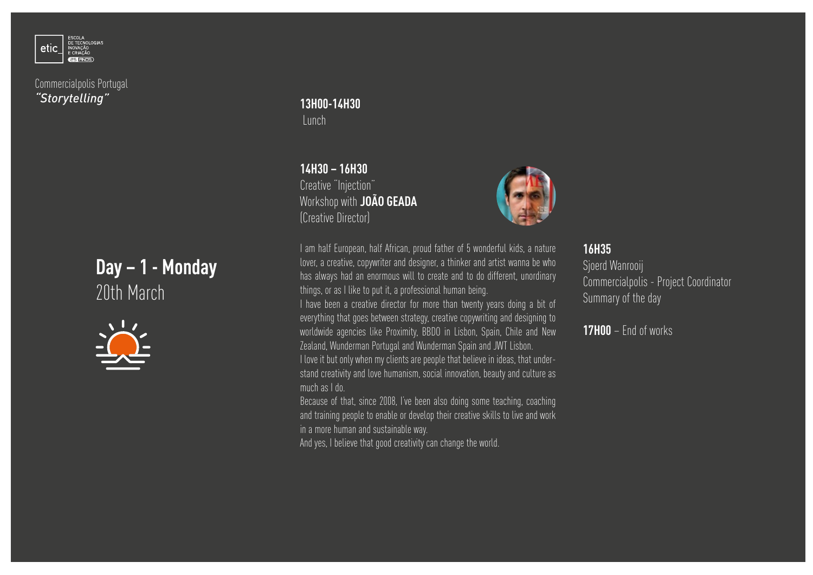

# **Day – 1 - Monday** 20th March



**13H00-14H30** Lunch

**14H30 – 16H30** Creative "Injection" Workshop with **JOÃO GEADA** (Creative Director)



I am half European, half African, proud father of 5 wonderful kids, a nature lover, a creative, copywriter and designer, a thinker and artist wanna be who has always had an enormous will to create and to do different, unordinary things, or as I like to put it, a professional human being.

I have been a creative director for more than twenty years doing a bit of everything that goes between strategy, creative copywriting and designing to worldwide agencies like Proximity, BBDO in Lisbon, Spain, Chile and New Zealand, Wunderman Portugal and Wunderman Spain and JWT Lisbon. I love it but only when my clients are people that believe in ideas, that under-

stand creativity and love humanism, social innovation, beauty and culture as much as I do.

Because of that, since 2008, I've been also doing some teaching, coaching and training people to enable or develop their creative skills to live and work in a more human and sustainable way.

And yes, I believe that good creativity can change the world.

#### **16H35**

Sjoerd Wanrooij Commercialpolis - Project Coordinator Summary of the day

**17H00** – End of works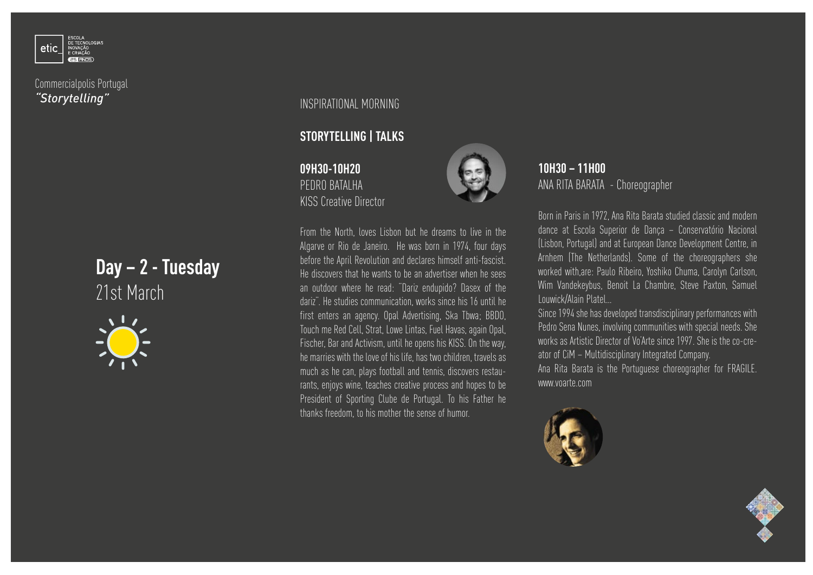

# **Day – 2 - Tuesday** 21st March



INSPIRATIONAL MORNING

#### **STORYTELLING | TALKS**

**09H30-10H20** PEDRO BATALHA KISS Creative Director



From the North, loves Lisbon but he dreams to live in the Algarve or Rio de Janeiro. He was born in 1974, four days before the April Revolution and declares himself anti-fascist. He discovers that he wants to be an advertiser when he sees an outdoor where he read: "Dariz endupido? Dasex of the dariz". He studies communication, works since his 16 until he first enters an agency. Opal Advertising, Ska Tbwa; BBDO, Touch me Red Cell, Strat, Lowe Lintas, Fuel Havas, again Opal, Fischer, Bar and Activism, until he opens his KISS. On the way, he marries with the love of his life, has two children, travels as much as he can, plays football and tennis, discovers restaurants, enjoys wine, teaches creative process and hopes to be President of Sporting Clube de Portugal. To his Father he thanks freedom, to his mother the sense of humor.

**10H30 – 11H00** ANA RITA BARATA - Choreographer

Born in Paris in 1972, Ana Rita Barata studied classic and modern dance at Escola Superior de Dança – Conservatório Nacional (Lisbon, Portugal) and at European Dance Development Centre, in Arnhem (The Netherlands). Some of the choreographers she worked with,are: Paulo Ribeiro, Yoshiko Chuma, Carolyn Carlson, Wim Vandekeybus, Benoit La Chambre, Steve Paxton, Samuel Louwick/Alain Platel…

Since 1994 she has developed transdisciplinary performances with Pedro Sena Nunes, involving communities with special needs. She works as Artistic Director of Vo'Arte since 1997. She is the co-creator of CiM – Multidisciplinary Integrated Company. Ana Rita Barata is the Portuguese choreographer for FRAGILE. www.voarte.com



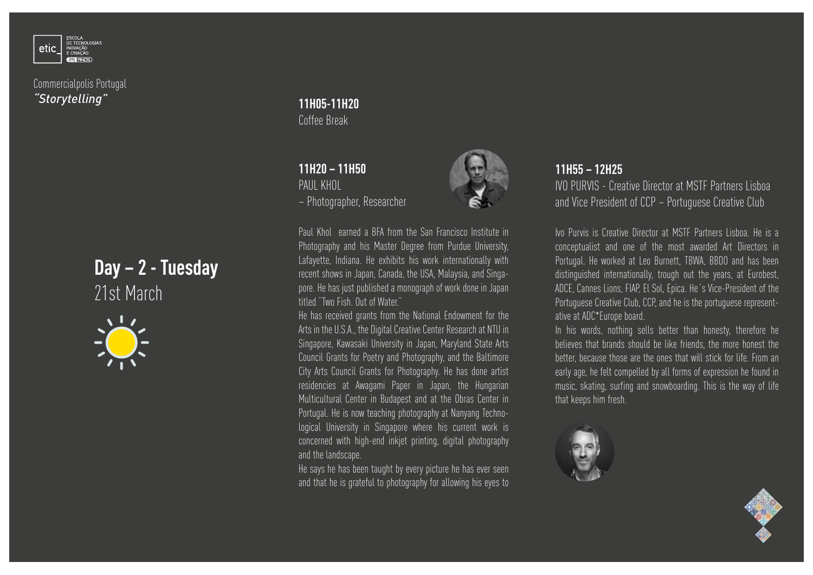

# **Day – 2 - Tuesday** 21st March



## **11H05-11H20** Coffee Break

#### **11H20 – 11H50** PAIII KHOL – Photographer, Researcher



Paul Khol earned a BFA from the San Francisco Institute in Photography and his Master Degree from Purdue University, Lafayette, Indiana. He exhibits his work internationally with recent shows in Japan, Canada, the USA, Malaysia, and Singapore. He has just published a monograph of work done in Japan titled "Two Fish. Out of Water."

He has received grants from the National Endowment for the Arts in the U.S.A., the Digital Creative Center Research at NTU in Singapore, Kawasaki University in Japan, Maryland State Arts Council Grants for Poetry and Photography, and the Baltimore City Arts Council Grants for Photography. He has done artist residencies at Awagami Paper in Japan, the Hungarian Multicultural Center in Budapest and at the Obras Center in Portugal. He is now teaching photography at Nanyang Technological University in Singapore where his current work is concerned with high-end inkjet printing, digital photography and the landscape.

He says he has been taught by every picture he has ever seen and that he is grateful to photography for allowing his eyes to

## **11H55 – 12H25**

IVO PURVIS - Creative Director at MSTF Partners Lisboa and Vice President of CCP – Portuguese Creative Club

Ivo Purvis is Creative Director at MSTF Partners Lisboa. He is a conceptualist and one of the most awarded Art Directors in Portugal. He worked at Leo Burnett, TBWA, BBDO and has been distinguished internationally, trough out the years, at Eurobest, ADCE, Cannes Lions, FIAP, El Sol, Epica. He´s Vice-President of the Portuguese Creative Club, CCP, and he is the portuguese representative at ADC\*Europe board.

In his words, nothing sells better than honesty, therefore he believes that brands should be like friends, the more honest the better, because those are the ones that will stick for life. From an early age, he felt compelled by all forms of expression he found in music, skating, surfing and snowboarding. This is the way of life that keeps him fresh.



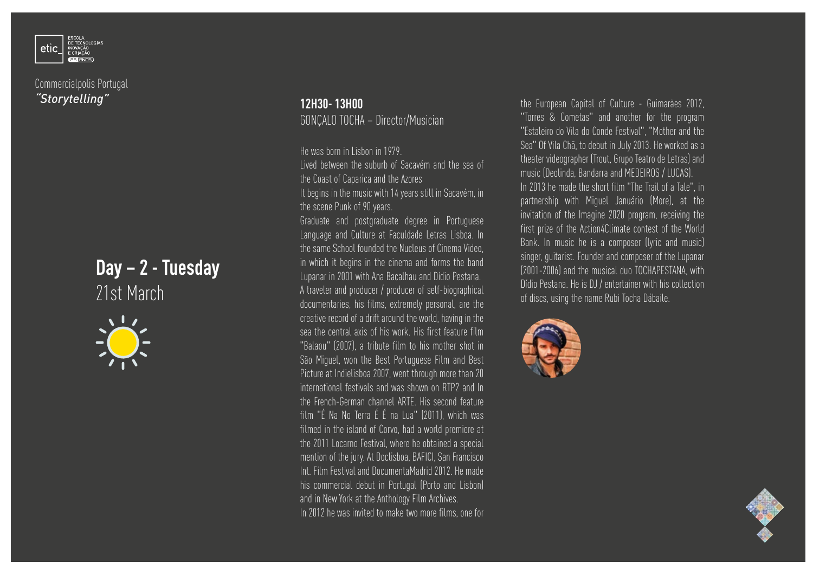

# **Day – 2 - Tuesday** 21st March



#### **12H30- 13H00** GONÇALO TOCHA – Director/Musician

He was born in Lisbon in 1979.

Lived between the suburb of Sacavém and the sea of the Coast of Caparica and the Azores It begins in the music with 14 years still in Sacavém, in the scene Punk of 90 years.

Graduate and postgraduate degree in Portuguese Language and Culture at Faculdade Letras Lisboa. In the same School founded the Nucleus of Cinema Video, in which it begins in the cinema and forms the band Lupanar in 2001 with Ana Bacalhau and Dídio Pestana. A traveler and producer / producer of self-biographical documentaries, his films, extremely personal, are the creative record of a drift around the world, having in the sea the central axis of his work. His first feature film "Balaou" (2007), a tribute film to his mother shot in São Miguel, won the Best Portuguese Film and Best Picture at Indielisboa 2007, went through more than 20 international festivals and was shown on RTP2 and In the French-German channel ARTE. His second feature film "É Na No Terra É É na Lua" (2011), which was filmed in the island of Corvo, had a world premiere at the 2011 Locarno Festival, where he obtained a special mention of the jury. At Doclisboa, BAFICI, San Francisco Int. Film Festival and DocumentaMadrid 2012. He made his commercial debut in Portugal (Porto and Lisbon) and in New York at the Anthology Film Archives. In 2012 he was invited to make two more films, one for

the European Capital of Culture - Guimarães 2012, "Torres & Cometas" and another for the program "Estaleiro do Vila do Conde Festival", "Mother and the Sea" Of Vila Chã, to debut in July 2013. He worked as a theater videographer (Trout, Grupo Teatro de Letras) and music (Deolinda, Bandarra and MEDEIROS / LUCAS). In 2013 he made the short film "The Trail of a Tale", in partnership with Miguel Januário (More), at the invitation of the Imagine 2020 program, receiving the first prize of the Action4Climate contest of the World Bank. In music he is a composer (lyric and music) singer, guitarist. Founder and composer of the Lupanar (2001-2006) and the musical duo TOCHAPESTANA, with Dídio Pestana. He is DJ / entertainer with his collection of discs, using the name Rubi Tocha Dábaile.



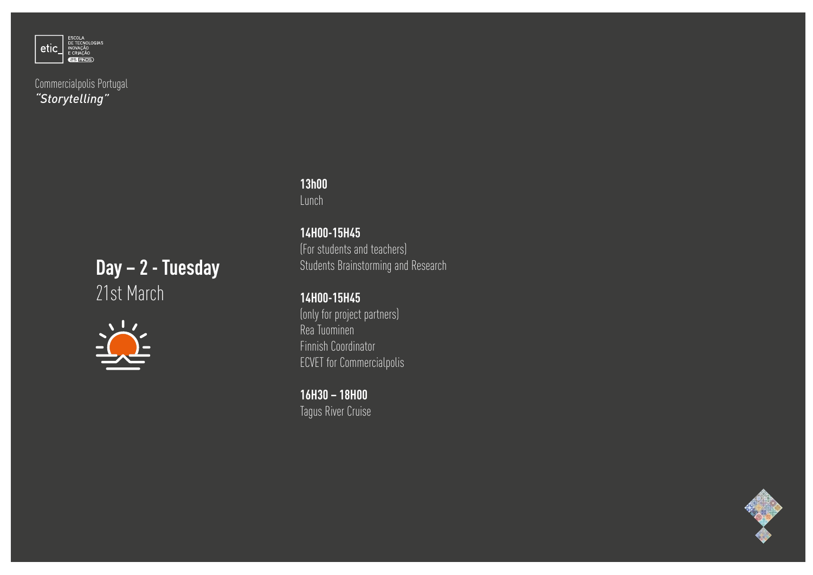

# **Day – 2 - Tuesday** 21st March



#### **13h00** Lunch

## **14H00-15H45** (For students and teachers) Students Brainstorming and Research

# **14H00-15H45**

(only for project partners) Rea Tuominen Finnish Coordinator ECVET for Commercialpolis

**16H30 – 18H00** Tagus River Cruise

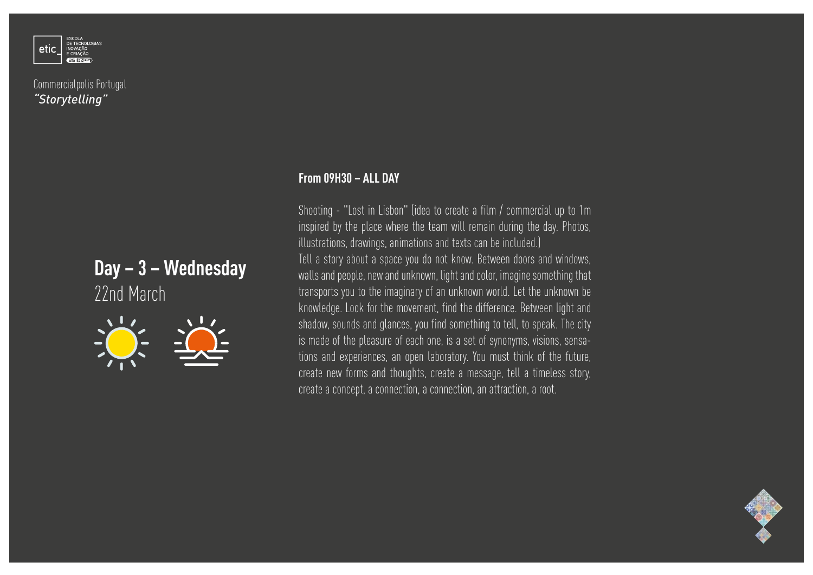

# **Day – 3 – Wednesday**  22nd March



Shooting - "Lost in Lisbon" (idea to create a film / commercial up to 1m inspired by the place where the team will remain during the day. Photos, illustrations, drawings, animations and texts can be included.)

Tell a story about a space you do not know. Between doors and windows, walls and people, new and unknown, light and color, imagine something that transports you to the imaginary of an unknown world. Let the unknown be knowledge. Look for the movement, find the difference. Between light and shadow, sounds and glances, you find something to tell, to speak. The city is made of the pleasure of each one, is a set of synonyms, visions, sensations and experiences, an open laboratory. You must think of the future, create new forms and thoughts, create a message, tell a timeless story, create a concept, a connection, a connection, an attraction, a root.

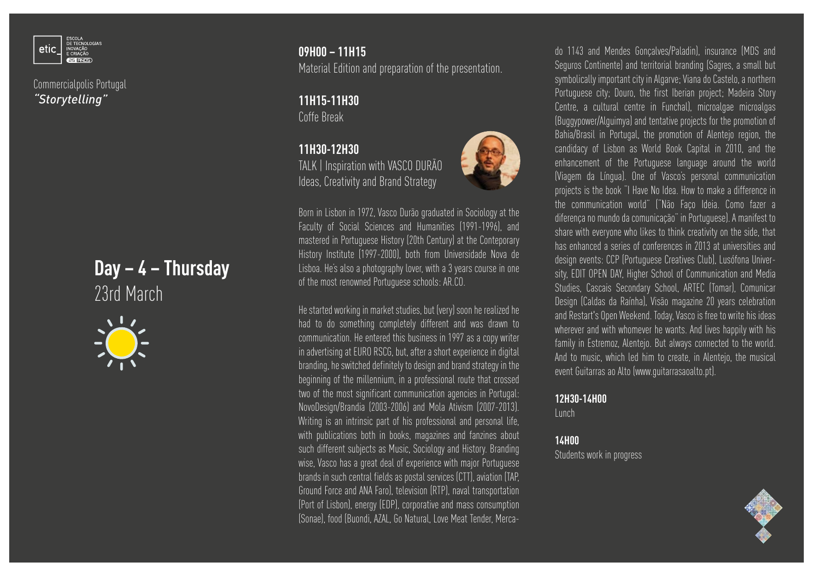

# **Day – 4 – Thursday**  23rd March



# **09H00 – 11H15**

Material Edition and preparation of the presentation.

**11H15-11H30** Coffe Break

**11H30-12H30** TALK | Inspiration with VASCO DURÃO Ideas, Creativity and Brand Strategy



Born in Lisbon in 1972, Vasco Durão graduated in Sociology at the Faculty of Social Sciences and Humanities (1991-1996), and mastered in Portuguese History (20th Century) at the Conteporary History Institute (1997-2000), both from Universidade Nova de Lisboa. He's also a photography lover, with a 3 years course in one of the most renowned Portuguese schools: AR.CO.

He started working in market studies, but (very) soon he realized he had to do something completely different and was drawn to communication. He entered this business in 1997 as a copy writer in advertising at EURO RSCG, but, after a short experience in digital branding, he switched definitely to design and brand strategy in the beginning of the millennium, in a professional route that crossed two of the most significant communication agencies in Portugal: NovoDesign/Brandia (2003-2006) and Mola Ativism (2007-2013). Writing is an intrinsic part of his professional and personal life, with publications both in books, magazines and fanzines about such different subjects as Music, Sociology and History. Branding wise, Vasco has a great deal of experience with major Portuguese brands in such central fields as postal services (CTT), aviation (TAP, Ground Force and ANA Faro), television (RTP), naval transportation (Port of Lisbon), energy (EDP), corporative and mass consumption (Sonae), food (Buondi, AZAL, Go Natural, Love Meat Tender, Mercado 1143 and Mendes Gonçalves/Paladin), insurance (MDS and Seguros Continente) and territorial branding (Sagres, a small but symbolically important city in Algarve; Viana do Castelo, a northern Portuguese city; Douro, the first Iberian project; Madeira Story Centre, a cultural centre in Funchal), microalgae microalgas (Buggypower/Alguimya) and tentative projects for the promotion of Bahia/Brasil in Portugal, the promotion of Alentejo region, the candidacy of Lisbon as World Book Capital in 2010, and the enhancement of the Portuguese language around the world (Viagem da Língua). One of Vasco's personal communication projects is the book "I Have No Idea. How to make a difference in the communication world" ("Não Faço Ideia. Como fazer a diferença no mundo da comunicação" in Portuguese). A manifest to share with everyone who likes to think creativity on the side, that has enhanced a series of conferences in 2013 at universities and design events: CCP (Portuguese Creatives Club), Lusófona University, EDIT OPEN DAY, Higher School of Communication and Media Studies, Cascais Secondary School, ARTEC (Tomar), Comunicar Design (Caldas da Raínha), Visão magazine 20 years celebration and Restart's Open Weekend. Today, Vasco is free to write his ideas wherever and with whomever he wants. And lives happily with his family in Estremoz, Alentejo. But always connected to the world. And to music, which led him to create, in Alentejo, the musical event Guitarras ao Alto (www.guitarrasaoalto.pt).

**12H30-14H00**

Lunch

#### **14H00**

Students work in progress

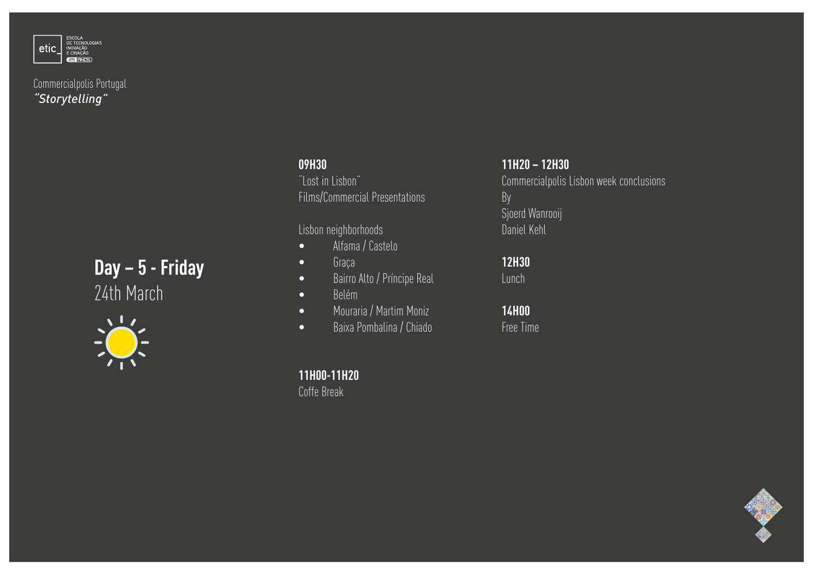

# **Day – 5 - Friday** 24th March



# **09H30** "Lost in Lisbon" Films/Commercial Presentations

Lisbon neighborhoods

- Alfama / Castelo
- Graça
- Bairro Alto / Príncipe Real
- Belém
- Mouraria / Martim Moniz
- Baixa Pombalina / Chiado

**11H00-11H20** Coffe Break

**11H20 – 12H30**

Commercialpolis Lisbon week conclusions By Sjoerd Wanrooij Daniel Kehl

**12H30**  Lunch

**14H00** Free Time